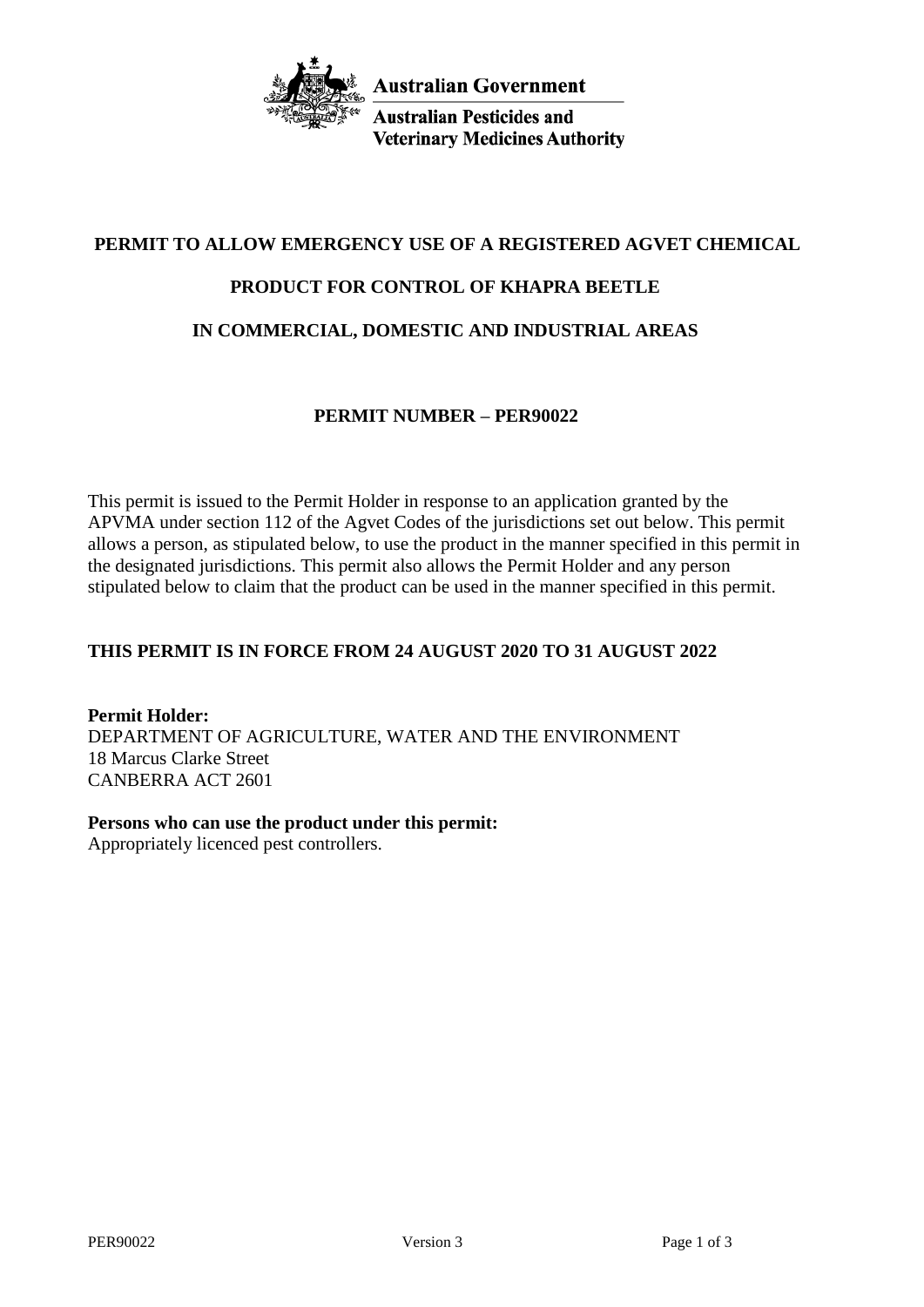

**Australian Pesticides and Veterinary Medicines Authority** 

# **PERMIT TO ALLOW EMERGENCY USE OF A REGISTERED AGVET CHEMICAL**

# **PRODUCT FOR CONTROL OF KHAPRA BEETLE**

# **IN COMMERCIAL, DOMESTIC AND INDUSTRIAL AREAS**

### **PERMIT NUMBER – PER90022**

This permit is issued to the Permit Holder in response to an application granted by the APVMA under section 112 of the Agvet Codes of the jurisdictions set out below. This permit allows a person, as stipulated below, to use the product in the manner specified in this permit in the designated jurisdictions. This permit also allows the Permit Holder and any person stipulated below to claim that the product can be used in the manner specified in this permit.

### **THIS PERMIT IS IN FORCE FROM 24 AUGUST 2020 TO 31 AUGUST 2022**

**Permit Holder:** DEPARTMENT OF AGRICULTURE, WATER AND THE ENVIRONMENT 18 Marcus Clarke Street CANBERRA ACT 2601

## **Persons who can use the product under this permit:**

Appropriately licenced pest controllers.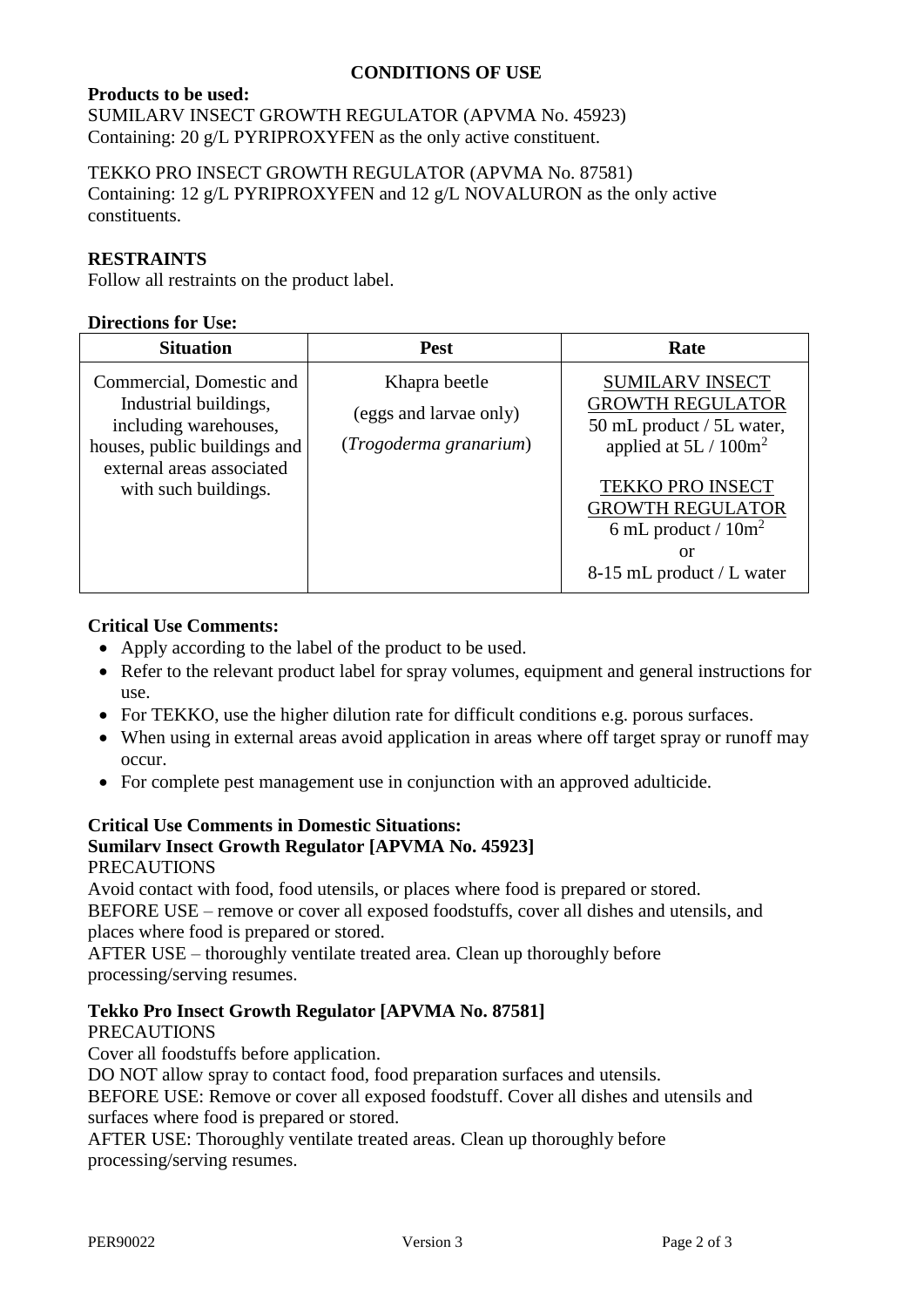## **CONDITIONS OF USE**

## **Products to be used:**

SUMILARV INSECT GROWTH REGULATOR (APVMA No. 45923) Containing: 20 g/L PYRIPROXYFEN as the only active constituent.

TEKKO PRO INSECT GROWTH REGULATOR (APVMA No. 87581) Containing: 12 g/L PYRIPROXYFEN and 12 g/L NOVALURON as the only active constituents.

### **RESTRAINTS**

Follow all restraints on the product label.

#### **Directions for Use:**

| <b>Situation</b>                                                                                                                                                | <b>Pest</b>                                                       | Rate                                                                                                                                                                                                                          |
|-----------------------------------------------------------------------------------------------------------------------------------------------------------------|-------------------------------------------------------------------|-------------------------------------------------------------------------------------------------------------------------------------------------------------------------------------------------------------------------------|
| Commercial, Domestic and<br>Industrial buildings,<br>including warehouses,<br>houses, public buildings and<br>external areas associated<br>with such buildings. | Khapra beetle<br>(eggs and larvae only)<br>(Trogoderma granarium) | <b>SUMILARV INSECT</b><br><b>GROWTH REGULATOR</b><br>50 mL product / 5L water,<br>applied at $5L / 100m^2$<br><b>TEKKO PRO INSECT</b><br><b>GROWTH REGULATOR</b><br>6 mL product / $10m^2$<br>or<br>8-15 mL product / L water |

### **Critical Use Comments:**

- Apply according to the label of the product to be used.
- Refer to the relevant product label for spray volumes, equipment and general instructions for use.
- For TEKKO, use the higher dilution rate for difficult conditions e.g. porous surfaces.
- When using in external areas avoid application in areas where off target spray or runoff may occur.
- For complete pest management use in conjunction with an approved adulticide.

#### **Critical Use Comments in Domestic Situations: Sumilarv Insect Growth Regulator [APVMA No. 45923]** PRECAUTIONS

Avoid contact with food, food utensils, or places where food is prepared or stored. BEFORE USE – remove or cover all exposed foodstuffs, cover all dishes and utensils, and places where food is prepared or stored.

AFTER USE – thoroughly ventilate treated area. Clean up thoroughly before processing/serving resumes.

## **Tekko Pro Insect Growth Regulator [APVMA No. 87581]**

### PRECAUTIONS

Cover all foodstuffs before application.

DO NOT allow spray to contact food, food preparation surfaces and utensils.

BEFORE USE: Remove or cover all exposed foodstuff. Cover all dishes and utensils and surfaces where food is prepared or stored.

AFTER USE: Thoroughly ventilate treated areas. Clean up thoroughly before processing/serving resumes.